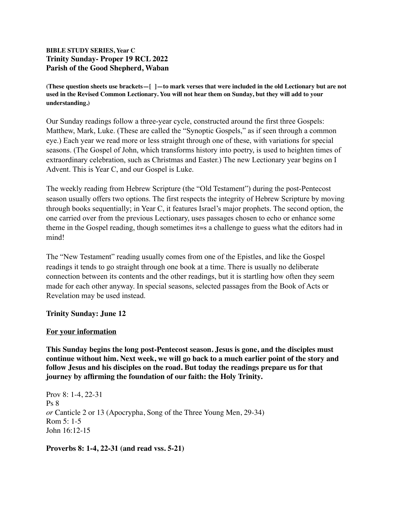# **BIBLE STUDY SERIES, Year C Trinity Sunday- Proper 19 RCL 2022 Parish of the Good Shepherd, Waban**

**(These question sheets use brackets—[ ]—to mark verses that were included in the old Lectionary but are not used in the Revised Common Lectionary. You will not hear them on Sunday, but they will add to your understanding.)**

Our Sunday readings follow a three-year cycle, constructed around the first three Gospels: Matthew, Mark, Luke. (These are called the "Synoptic Gospels," as if seen through a common eye.) Each year we read more or less straight through one of these, with variations for special seasons. (The Gospel of John, which transforms history into poetry, is used to heighten times of extraordinary celebration, such as Christmas and Easter.) The new Lectionary year begins on I Advent. This is Year C, and our Gospel is Luke.

The weekly reading from Hebrew Scripture (the "Old Testament") during the post-Pentecost season usually offers two options. The first respects the integrity of Hebrew Scripture by moving through books sequentially; in Year C, it features Israel's major prophets. The second option, the one carried over from the previous Lectionary, uses passages chosen to echo or enhance some theme in the Gospel reading, though sometimes it=s a challenge to guess what the editors had in mind!

The "New Testament" reading usually comes from one of the Epistles, and like the Gospel readings it tends to go straight through one book at a time. There is usually no deliberate connection between its contents and the other readings, but it is startling how often they seem made for each other anyway. In special seasons, selected passages from the Book of Acts or Revelation may be used instead.

# **Trinity Sunday: June 12**

### **For your information**

**This Sunday begins the long post-Pentecost season. Jesus is gone, and the disciples must continue without him. Next week, we will go back to a much earlier point of the story and follow Jesus and his disciples on the road. But today the readings prepare us for that journey by affirming the foundation of our faith: the Holy Trinity.**

Prov 8: 1-4, 22-31 Ps 8 *or* Canticle 2 or 13 (Apocrypha, Song of the Three Young Men, 29-34) Rom 5: 1-5 John 16:12-15

**Proverbs 8: 1-4, 22-31 (and read vss. 5-21)**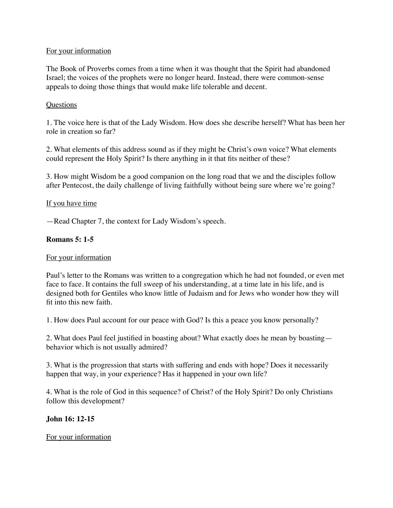# For your information

The Book of Proverbs comes from a time when it was thought that the Spirit had abandoned Israel; the voices of the prophets were no longer heard. Instead, there were common-sense appeals to doing those things that would make life tolerable and decent.

# Questions

1. The voice here is that of the Lady Wisdom. How does she describe herself? What has been her role in creation so far?

2. What elements of this address sound as if they might be Christ's own voice? What elements could represent the Holy Spirit? Is there anything in it that fits neither of these?

3. How might Wisdom be a good companion on the long road that we and the disciples follow after Pentecost, the daily challenge of living faithfully without being sure where we're going?

## If you have time

—Read Chapter 7, the context for Lady Wisdom's speech.

## **Romans 5: 1-5**

### For your information

Paul's letter to the Romans was written to a congregation which he had not founded, or even met face to face. It contains the full sweep of his understanding, at a time late in his life, and is designed both for Gentiles who know little of Judaism and for Jews who wonder how they will fit into this new faith.

1. How does Paul account for our peace with God? Is this a peace you know personally?

2. What does Paul feel justified in boasting about? What exactly does he mean by boasting behavior which is not usually admired?

3. What is the progression that starts with suffering and ends with hope? Does it necessarily happen that way, in your experience? Has it happened in your own life?

4. What is the role of God in this sequence? of Christ? of the Holy Spirit? Do only Christians follow this development?

# **John 16: 12-15**

### For your information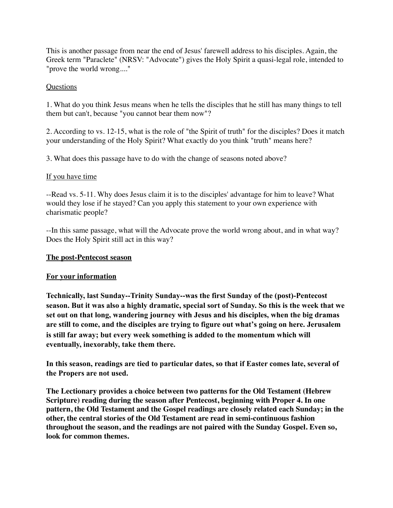This is another passage from near the end of Jesus' farewell address to his disciples. Again, the Greek term "Paraclete" (NRSV: "Advocate") gives the Holy Spirit a quasi-legal role, intended to "prove the world wrong...."

## **Questions**

1. What do you think Jesus means when he tells the disciples that he still has many things to tell them but can't, because "you cannot bear them now"?

2. According to vs. 12-15, what is the role of "the Spirit of truth" for the disciples? Does it match your understanding of the Holy Spirit? What exactly do you think "truth" means here?

3. What does this passage have to do with the change of seasons noted above?

## If you have time

--Read vs. 5-11. Why does Jesus claim it is to the disciples' advantage for him to leave? What would they lose if he stayed? Can you apply this statement to your own experience with charismatic people?

--In this same passage, what will the Advocate prove the world wrong about, and in what way? Does the Holy Spirit still act in this way?

### **The post-Pentecost season**

### **For your information**

**Technically, last Sunday--Trinity Sunday--was the first Sunday of the (post)-Pentecost season. But it was also a highly dramatic, special sort of Sunday. So this is the week that we set out on that long, wandering journey with Jesus and his disciples, when the big dramas are still to come, and the disciples are trying to figure out what's going on here. Jerusalem is still far away; but every week something is added to the momentum which will eventually, inexorably, take them there.**

**In this season, readings are tied to particular dates, so that if Easter comes late, several of the Propers are not used.**

**The Lectionary provides a choice between two patterns for the Old Testament (Hebrew Scripture) reading during the season after Pentecost, beginning with Proper 4. In one pattern, the Old Testament and the Gospel readings are closely related each Sunday; in the other, the central stories of the Old Testament are read in semi-continuous fashion throughout the season, and the readings are not paired with the Sunday Gospel. Even so, look for common themes.**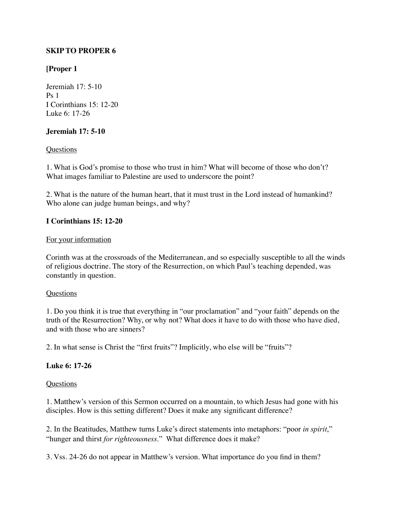# **SKIP TO PROPER 6**

# **[Proper 1**

Jeremiah 17: 5-10  $Ps<sub>1</sub>$ I Corinthians 15: 12-20 Luke 6: 17-26

# **Jeremiah 17: 5-10**

## **Questions**

1. What is God's promise to those who trust in him? What will become of those who don't? What images familiar to Palestine are used to underscore the point?

2. What is the nature of the human heart, that it must trust in the Lord instead of humankind? Who alone can judge human beings, and why?

# **I Corinthians 15: 12-20**

### For your information

Corinth was at the crossroads of the Mediterranean, and so especially susceptible to all the winds of religious doctrine. The story of the Resurrection, on which Paul's teaching depended, was constantly in question.

### Questions

1. Do you think it is true that everything in "our proclamation" and "your faith" depends on the truth of the Resurrection? Why, or why not? What does it have to do with those who have died, and with those who are sinners?

2. In what sense is Christ the "first fruits"? Implicitly, who else will be "fruits"?

# **Luke 6: 17-26**

### Questions

1. Matthew's version of this Sermon occurred on a mountain, to which Jesus had gone with his disciples. How is this setting different? Does it make any significant difference?

2. In the Beatitudes, Matthew turns Luke's direct statements into metaphors: "poor *in spirit*," "hunger and thirst *for righteousness*." What difference does it make?

3. Vss. 24-26 do not appear in Matthew's version. What importance do you find in them?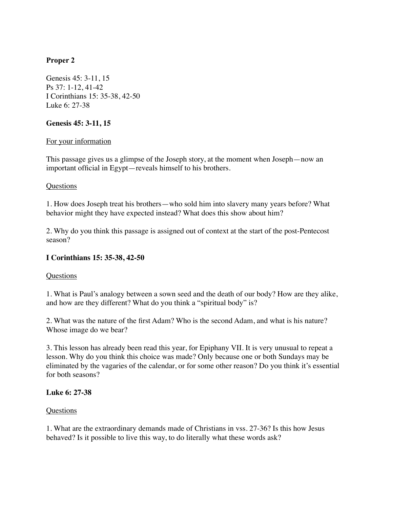# **Proper 2**

Genesis 45: 3-11, 15 Ps 37: 1-12, 41-42 I Corinthians 15: 35-38, 42-50 Luke 6: 27-38

## **Genesis 45: 3-11, 15**

## For your information

This passage gives us a glimpse of the Joseph story, at the moment when Joseph—now an important official in Egypt—reveals himself to his brothers.

### Questions

1. How does Joseph treat his brothers—who sold him into slavery many years before? What behavior might they have expected instead? What does this show about him?

2. Why do you think this passage is assigned out of context at the start of the post-Pentecost season?

# **I Corinthians 15: 35-38, 42-50**

### **Questions**

1. What is Paul's analogy between a sown seed and the death of our body? How are they alike, and how are they different? What do you think a "spiritual body" is?

2. What was the nature of the first Adam? Who is the second Adam, and what is his nature? Whose image do we bear?

3. This lesson has already been read this year, for Epiphany VII. It is very unusual to repeat a lesson. Why do you think this choice was made? Only because one or both Sundays may be eliminated by the vagaries of the calendar, or for some other reason? Do you think it's essential for both seasons?

### **Luke 6: 27-38**

### Questions

1. What are the extraordinary demands made of Christians in vss. 27-36? Is this how Jesus behaved? Is it possible to live this way, to do literally what these words ask?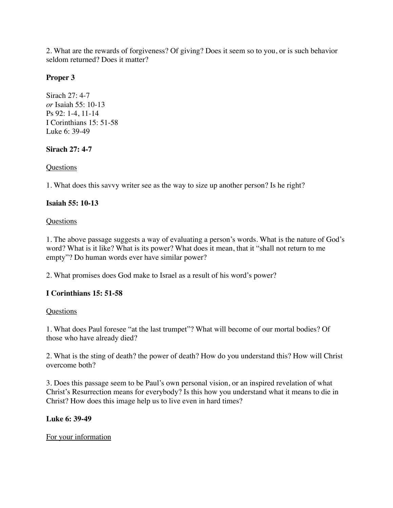2. What are the rewards of forgiveness? Of giving? Does it seem so to you, or is such behavior seldom returned? Does it matter?

# **Proper 3**

Sirach 27: 4-7 *or* Isaiah 55: 10-13 Ps 92: 1-4, 11-14 I Corinthians 15: 51-58 Luke 6: 39-49

# **Sirach 27: 4-7**

# **Ouestions**

1. What does this savvy writer see as the way to size up another person? Is he right?

# **Isaiah 55: 10-13**

# **Questions**

1. The above passage suggests a way of evaluating a person's words. What is the nature of God's word? What is it like? What is its power? What does it mean, that it "shall not return to me empty"? Do human words ever have similar power?

2. What promises does God make to Israel as a result of his word's power?

# **I Corinthians 15: 51-58**

# **Questions**

1. What does Paul foresee "at the last trumpet"? What will become of our mortal bodies? Of those who have already died?

2. What is the sting of death? the power of death? How do you understand this? How will Christ overcome both?

3. Does this passage seem to be Paul's own personal vision, or an inspired revelation of what Christ's Resurrection means for everybody? Is this how you understand what it means to die in Christ? How does this image help us to live even in hard times?

# **Luke 6: 39-49**

# For your information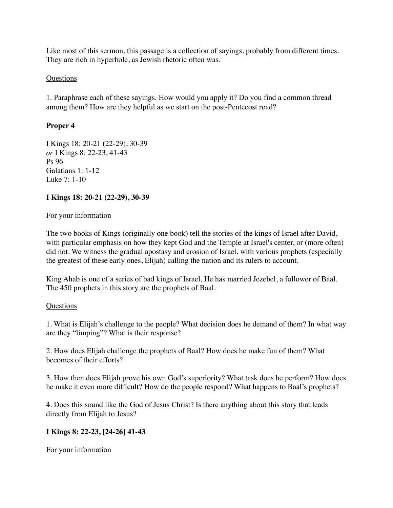Like most of this sermon, this passage is a collection of sayings, probably from different times. They are rich in hyperbole, as Jewish rhetoric often was.

# **Questions**

1. Paraphrase each of these sayings. How would you apply it? Do you find a common thread among them? How are they helpful as we start on the post-Pentecost road?

# **Proper 4**

I Kings 18: 20-21 (22-29), 30-39 *or* I Kings 8: 22-23, 41-43 Ps 96 Galatians 1: 1-12 Luke 7: 1-10

# **I Kings 18: 20-21 (22-29), 30-39**

# For your information

The two books of Kings (originally one book) tell the stories of the kings of Israel after David, with particular emphasis on how they kept God and the Temple at Israel's center, or (more often) did not. We witness the gradual apostasy and erosion of Israel, with various prophets (especially the greatest of these early ones, Elijah) calling the nation and its rulers to account.

King Ahab is one of a series of bad kings of Israel. He has married Jezebel, a follower of Baal. The 450 prophets in this story are the prophets of Baal.

# **Questions**

1. What is Elijah's challenge to the people? What decision does he demand of them? In what way are they "limping"? What is their response?

2. How does Elijah challenge the prophets of Baal? How does he make fun of them? What becomes of their efforts?

3. How then does Elijah prove his own God's superiority? What task does he perform? How does he make it even more difficult? How do the people respond? What happens to Baal's prophets?

4. Does this sound like the God of Jesus Christ? Is there anything about this story that leads directly from Elijah to Jesus?

# **I Kings 8: 22-23, [24-26] 41-43**

For your information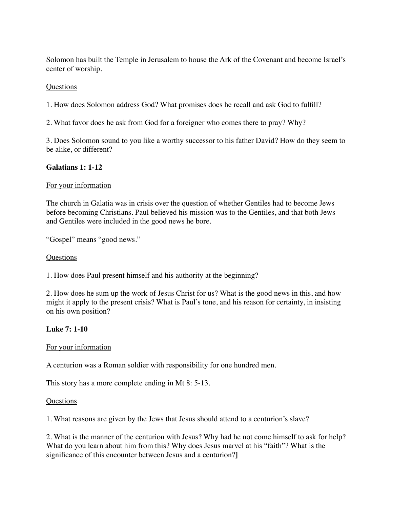Solomon has built the Temple in Jerusalem to house the Ark of the Covenant and become Israel's center of worship.

## **Questions**

1. How does Solomon address God? What promises does he recall and ask God to fulfill?

2. What favor does he ask from God for a foreigner who comes there to pray? Why?

3. Does Solomon sound to you like a worthy successor to his father David? How do they seem to be alike, or different?

# **Galatians 1: 1-12**

# For your information

The church in Galatia was in crisis over the question of whether Gentiles had to become Jews before becoming Christians. Paul believed his mission was to the Gentiles, and that both Jews and Gentiles were included in the good news he bore.

"Gospel" means "good news."

# **Questions**

1. How does Paul present himself and his authority at the beginning?

2. How does he sum up the work of Jesus Christ for us? What is the good news in this, and how might it apply to the present crisis? What is Paul's tone, and his reason for certainty, in insisting on his own position?

# **Luke 7: 1-10**

### For your information

A centurion was a Roman soldier with responsibility for one hundred men.

This story has a more complete ending in Mt 8: 5-13.

### Questions

1. What reasons are given by the Jews that Jesus should attend to a centurion's slave?

2. What is the manner of the centurion with Jesus? Why had he not come himself to ask for help? What do you learn about him from this? Why does Jesus marvel at his "faith"? What is the significance of this encounter between Jesus and a centurion?**]**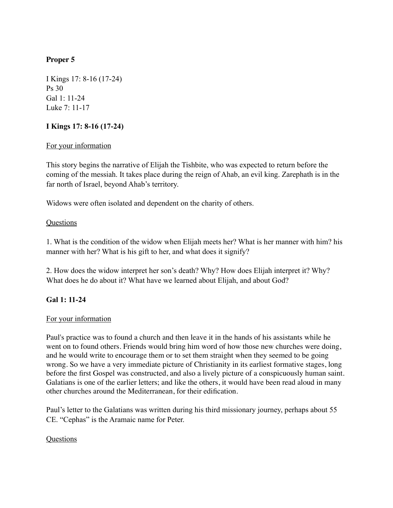# **Proper 5**

I Kings 17: 8-16 (17-24) Ps 30 Gal 1: 11-24 Luke 7: 11-17

# **I Kings 17: 8-16 (17-24)**

# For your information

This story begins the narrative of Elijah the Tishbite, who was expected to return before the coming of the messiah. It takes place during the reign of Ahab, an evil king. Zarephath is in the far north of Israel, beyond Ahab's territory.

Widows were often isolated and dependent on the charity of others.

# **Questions**

1. What is the condition of the widow when Elijah meets her? What is her manner with him? his manner with her? What is his gift to her, and what does it signify?

2. How does the widow interpret her son's death? Why? How does Elijah interpret it? Why? What does he do about it? What have we learned about Elijah, and about God?

# **Gal 1: 11-24**

# For your information

Paul's practice was to found a church and then leave it in the hands of his assistants while he went on to found others. Friends would bring him word of how those new churches were doing, and he would write to encourage them or to set them straight when they seemed to be going wrong. So we have a very immediate picture of Christianity in its earliest formative stages, long before the first Gospel was constructed, and also a lively picture of a conspicuously human saint. Galatians is one of the earlier letters; and like the others, it would have been read aloud in many other churches around the Mediterranean, for their edification.

Paul's letter to the Galatians was written during his third missionary journey, perhaps about 55 CE. "Cephas" is the Aramaic name for Peter.

# **Ouestions**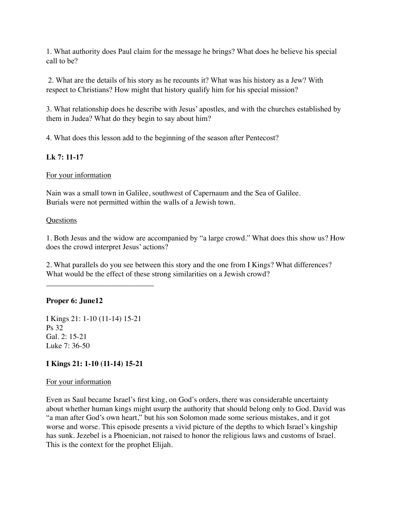1. What authority does Paul claim for the message he brings? What does he believe his special call to be?

 2. What are the details of his story as he recounts it? What was his history as a Jew? With respect to Christians? How might that history qualify him for his special mission?

3. What relationship does he describe with Jesus' apostles, and with the churches established by them in Judea? What do they begin to say about him?

4. What does this lesson add to the beginning of the season after Pentecost?

# **Lk 7: 11-17**

## For your information

Nain was a small town in Galilee, southwest of Capernaum and the Sea of Galilee. Burials were not permitted within the walls of a Jewish town.

### Questions

1. Both Jesus and the widow are accompanied by "a large crowd." What does this show us? How does the crowd interpret Jesus' actions?

2. What parallels do you see between this story and the one from I Kings? What differences? What would be the effect of these strong similarities on a Jewish crowd?

# **Proper 6: June12**

I Kings 21: 1-10 (11-14) 15-21 Ps 32 Gal. 2: 15-21 Luke 7: 36-50

\_\_\_\_\_\_\_\_\_\_\_\_\_\_\_\_\_\_\_\_\_\_\_\_\_\_\_\_

# **I Kings 21: 1-10 (11-14) 15-21**

### For your information

Even as Saul became Israel's first king, on God's orders, there was considerable uncertainty about whether human kings might usurp the authority that should belong only to God. David was "a man after God's own heart," but his son Solomon made some serious mistakes, and it got worse and worse. This episode presents a vivid picture of the depths to which Israel's kingship has sunk. Jezebel is a Phoenician, not raised to honor the religious laws and customs of Israel. This is the context for the prophet Elijah.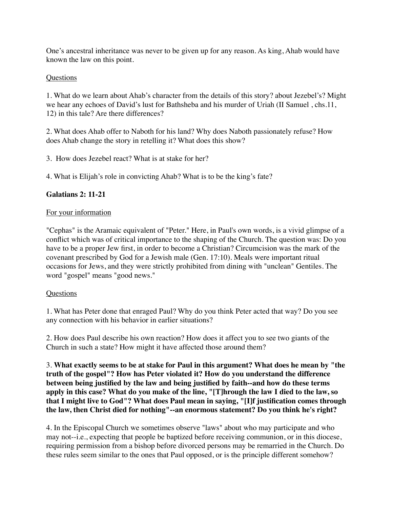One's ancestral inheritance was never to be given up for any reason. As king, Ahab would have known the law on this point.

## Questions

1. What do we learn about Ahab's character from the details of this story? about Jezebel's? Might we hear any echoes of David's lust for Bathsheba and his murder of Uriah (II Samuel , chs.11, 12) in this tale? Are there differences?

2. What does Ahab offer to Naboth for his land? Why does Naboth passionately refuse? How does Ahab change the story in retelling it? What does this show?

3. How does Jezebel react? What is at stake for her?

4. What is Elijah's role in convicting Ahab? What is to be the king's fate?

## **Galatians 2: 11-21**

### For your information

"Cephas" is the Aramaic equivalent of "Peter." Here, in Paul's own words, is a vivid glimpse of a conflict which was of critical importance to the shaping of the Church. The question was: Do you have to be a proper Jew first, in order to become a Christian? Circumcision was the mark of the covenant prescribed by God for a Jewish male (Gen. 17:10). Meals were important ritual occasions for Jews, and they were strictly prohibited from dining with "unclean" Gentiles. The word "gospel" means "good news."

### Questions

1. What has Peter done that enraged Paul? Why do you think Peter acted that way? Do you see any connection with his behavior in earlier situations?

2. How does Paul describe his own reaction? How does it affect you to see two giants of the Church in such a state? How might it have affected those around them?

3. **What exactly seems to be at stake for Paul in this argument? What does he mean by "the truth of the gospel"? How has Peter violated it? How do you understand the difference between being justified by the law and being justified by faith--and how do these terms apply in this case? What do you make of the line, "[T]hrough the law I died to the law, so that I might live to God"? What does Paul mean in saying, "[I]f justification comes through the law, then Christ died for nothing"--an enormous statement? Do you think he's right?**

4. In the Episcopal Church we sometimes observe "laws" about who may participate and who may not--i.e., expecting that people be baptized before receiving communion, or in this diocese, requiring permission from a bishop before divorced persons may be remarried in the Church. Do these rules seem similar to the ones that Paul opposed, or is the principle different somehow?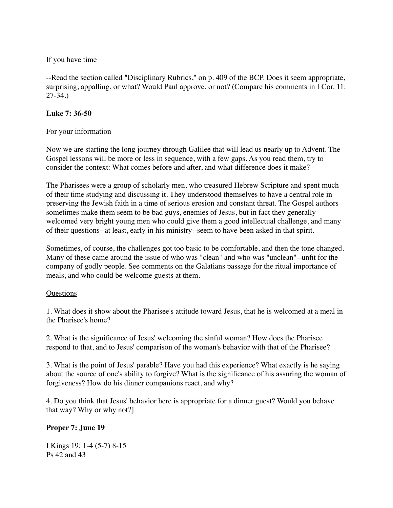## If you have time

--Read the section called "Disciplinary Rubrics," on p. 409 of the BCP. Does it seem appropriate, surprising, appalling, or what? Would Paul approve, or not? (Compare his comments in I Cor. 11: 27-34.)

## **Luke 7: 36-50**

## For your information

Now we are starting the long journey through Galilee that will lead us nearly up to Advent. The Gospel lessons will be more or less in sequence, with a few gaps. As you read them, try to consider the context: What comes before and after, and what difference does it make?

The Pharisees were a group of scholarly men, who treasured Hebrew Scripture and spent much of their time studying and discussing it. They understood themselves to have a central role in preserving the Jewish faith in a time of serious erosion and constant threat. The Gospel authors sometimes make them seem to be bad guys, enemies of Jesus, but in fact they generally welcomed very bright young men who could give them a good intellectual challenge, and many of their questions--at least, early in his ministry--seem to have been asked in that spirit.

Sometimes, of course, the challenges got too basic to be comfortable, and then the tone changed. Many of these came around the issue of who was "clean" and who was "unclean"--unfit for the company of godly people. See comments on the Galatians passage for the ritual importance of meals, and who could be welcome guests at them.

### **Questions**

1. What does it show about the Pharisee's attitude toward Jesus, that he is welcomed at a meal in the Pharisee's home?

2. What is the significance of Jesus' welcoming the sinful woman? How does the Pharisee respond to that, and to Jesus' comparison of the woman's behavior with that of the Pharisee?

3. What is the point of Jesus' parable? Have you had this experience? What exactly is he saying about the source of one's ability to forgive? What is the significance of his assuring the woman of forgiveness? How do his dinner companions react, and why?

4. Do you think that Jesus' behavior here is appropriate for a dinner guest? Would you behave that way? Why or why not?]

# **Proper 7: June 19**

I Kings 19: 1-4 (5-7) 8-15 Ps 42 and 43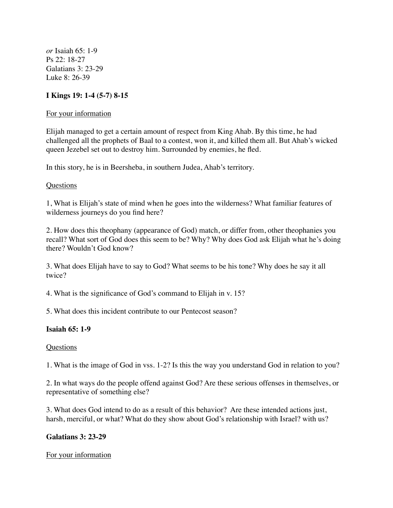*or* Isaiah 65: 1-9 Ps 22: 18-27 Galatians 3: 23-29 Luke 8: 26-39

### **I Kings 19: 1-4 (5-7) 8-15**

#### For your information

Elijah managed to get a certain amount of respect from King Ahab. By this time, he had challenged all the prophets of Baal to a contest, won it, and killed them all. But Ahab's wicked queen Jezebel set out to destroy him. Surrounded by enemies, he fled.

In this story, he is in Beersheba, in southern Judea, Ahab's territory.

#### Questions

1, What is Elijah's state of mind when he goes into the wilderness? What familiar features of wilderness journeys do you find here?

2. How does this theophany (appearance of God) match, or differ from, other theophanies you recall? What sort of God does this seem to be? Why? Why does God ask Elijah what he's doing there? Wouldn't God know?

3. What does Elijah have to say to God? What seems to be his tone? Why does he say it all twice?

4. What is the significance of God's command to Elijah in v. 15?

5. What does this incident contribute to our Pentecost season?

### **Isaiah 65: 1-9**

#### Questions

1. What is the image of God in vss. 1-2? Is this the way you understand God in relation to you?

2. In what ways do the people offend against God? Are these serious offenses in themselves, or representative of something else?

3. What does God intend to do as a result of this behavior? Are these intended actions just, harsh, merciful, or what? What do they show about God's relationship with Israel? with us?

#### **Galatians 3: 23-29**

#### For your information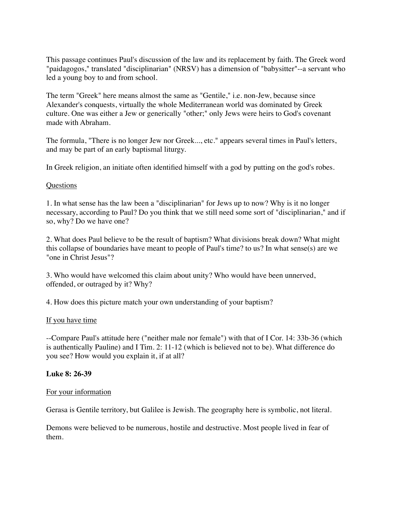This passage continues Paul's discussion of the law and its replacement by faith. The Greek word "paidagogos," translated "disciplinarian" (NRSV) has a dimension of "babysitter"--a servant who led a young boy to and from school.

The term "Greek" here means almost the same as "Gentile," i.e. non-Jew, because since Alexander's conquests, virtually the whole Mediterranean world was dominated by Greek culture. One was either a Jew or generically "other;" only Jews were heirs to God's covenant made with Abraham.

The formula, "There is no longer Jew nor Greek..., etc." appears several times in Paul's letters, and may be part of an early baptismal liturgy.

In Greek religion, an initiate often identified himself with a god by putting on the god's robes.

### Questions

1. In what sense has the law been a "disciplinarian" for Jews up to now? Why is it no longer necessary, according to Paul? Do you think that we still need some sort of "disciplinarian," and if so, why? Do we have one?

2. What does Paul believe to be the result of baptism? What divisions break down? What might this collapse of boundaries have meant to people of Paul's time? to us? In what sense(s) are we "one in Christ Jesus"?

3. Who would have welcomed this claim about unity? Who would have been unnerved, offended, or outraged by it? Why?

4. How does this picture match your own understanding of your baptism?

### If you have time

--Compare Paul's attitude here ("neither male nor female") with that of I Cor. 14: 33b-36 (which is authentically Pauline) and I Tim. 2: 11-12 (which is believed not to be). What difference do you see? How would you explain it, if at all?

### **Luke 8: 26-39**

### For your information

Gerasa is Gentile territory, but Galilee is Jewish. The geography here is symbolic, not literal.

Demons were believed to be numerous, hostile and destructive. Most people lived in fear of them.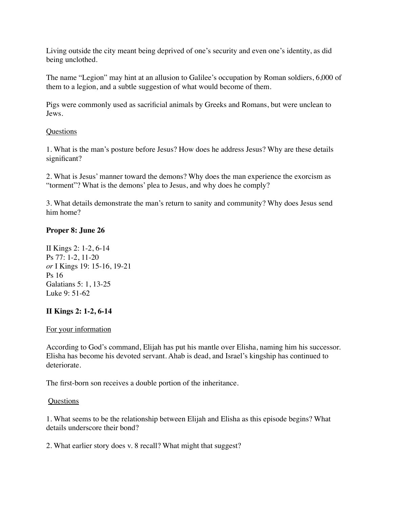Living outside the city meant being deprived of one's security and even one's identity, as did being unclothed.

The name "Legion" may hint at an allusion to Galilee's occupation by Roman soldiers, 6,000 of them to a legion, and a subtle suggestion of what would become of them.

Pigs were commonly used as sacrificial animals by Greeks and Romans, but were unclean to Jews.

### **Questions**

1. What is the man's posture before Jesus? How does he address Jesus? Why are these details significant?

2. What is Jesus' manner toward the demons? Why does the man experience the exorcism as "torment"? What is the demons' plea to Jesus, and why does he comply?

3. What details demonstrate the man's return to sanity and community? Why does Jesus send him home?

## **Proper 8: June 26**

II Kings 2: 1-2, 6-14 Ps 77: 1-2, 11-20 *or* I Kings 19: 15-16, 19-21 Ps 16 Galatians 5: 1, 13-25 Luke 9: 51-62

# **II Kings 2: 1-2, 6-14**

### For your information

According to God's command, Elijah has put his mantle over Elisha, naming him his successor. Elisha has become his devoted servant. Ahab is dead, and Israel's kingship has continued to deteriorate.

The first-born son receives a double portion of the inheritance.

### Questions

1. What seems to be the relationship between Elijah and Elisha as this episode begins? What details underscore their bond?

2. What earlier story does v. 8 recall? What might that suggest?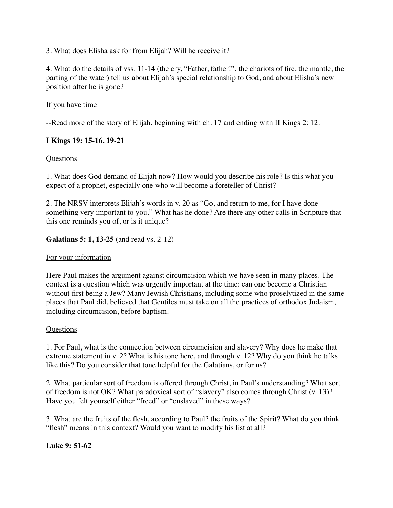3. What does Elisha ask for from Elijah? Will he receive it?

4. What do the details of vss. 11-14 (the cry, "Father, father!", the chariots of fire, the mantle, the parting of the water) tell us about Elijah's special relationship to God, and about Elisha's new position after he is gone?

## If you have time

--Read more of the story of Elijah, beginning with ch. 17 and ending with II Kings 2: 12.

## **I Kings 19: 15-16, 19-21**

## Questions

1. What does God demand of Elijah now? How would you describe his role? Is this what you expect of a prophet, especially one who will become a foreteller of Christ?

2. The NRSV interprets Elijah's words in v. 20 as "Go, and return to me, for I have done something very important to you." What has he done? Are there any other calls in Scripture that this one reminds you of, or is it unique?

## **Galatians 5: 1, 13-25** (and read vs. 2-12)

### For your information

Here Paul makes the argument against circumcision which we have seen in many places. The context is a question which was urgently important at the time: can one become a Christian without first being a Jew? Many Jewish Christians, including some who proselytized in the same places that Paul did, believed that Gentiles must take on all the practices of orthodox Judaism, including circumcision, before baptism.

### **Ouestions**

1. For Paul, what is the connection between circumcision and slavery? Why does he make that extreme statement in v. 2? What is his tone here, and through v. 12? Why do you think he talks like this? Do you consider that tone helpful for the Galatians, or for us?

2. What particular sort of freedom is offered through Christ, in Paul's understanding? What sort of freedom is not OK? What paradoxical sort of "slavery" also comes through Christ (v. 13)? Have you felt yourself either "freed" or "enslaved" in these ways?

3. What are the fruits of the flesh, according to Paul? the fruits of the Spirit? What do you think "flesh" means in this context? Would you want to modify his list at all?

# **Luke 9: 51-62**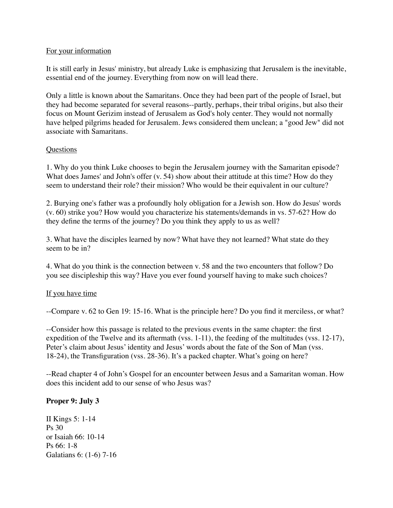### For your information

It is still early in Jesus' ministry, but already Luke is emphasizing that Jerusalem is the inevitable, essential end of the journey. Everything from now on will lead there.

Only a little is known about the Samaritans. Once they had been part of the people of Israel, but they had become separated for several reasons--partly, perhaps, their tribal origins, but also their focus on Mount Gerizim instead of Jerusalem as God's holy center. They would not normally have helped pilgrims headed for Jerusalem. Jews considered them unclean; a "good Jew" did not associate with Samaritans.

## **Questions**

1. Why do you think Luke chooses to begin the Jerusalem journey with the Samaritan episode? What does James' and John's offer (v. 54) show about their attitude at this time? How do they seem to understand their role? their mission? Who would be their equivalent in our culture?

2. Burying one's father was a profoundly holy obligation for a Jewish son. How do Jesus' words (v. 60) strike you? How would you characterize his statements/demands in vs. 57-62? How do they define the terms of the journey? Do you think they apply to us as well?

3. What have the disciples learned by now? What have they not learned? What state do they seem to be in?

4. What do you think is the connection between v. 58 and the two encounters that follow? Do you see discipleship this way? Have you ever found yourself having to make such choices?

# If you have time

--Compare v. 62 to Gen 19: 15-16. What is the principle here? Do you find it merciless, or what?

--Consider how this passage is related to the previous events in the same chapter: the first expedition of the Twelve and its aftermath (vss. 1-11), the feeding of the multitudes (vss. 12-17), Peter's claim about Jesus' identity and Jesus' words about the fate of the Son of Man (vss. 18-24), the Transfiguration (vss. 28-36). It's a packed chapter. What's going on here?

--Read chapter 4 of John's Gospel for an encounter between Jesus and a Samaritan woman. How does this incident add to our sense of who Jesus was?

# **Proper 9: July 3**

II Kings 5: 1-14 Ps 30 or Isaiah 66: 10-14 Ps 66: 1-8 Galatians 6: (1-6) 7-16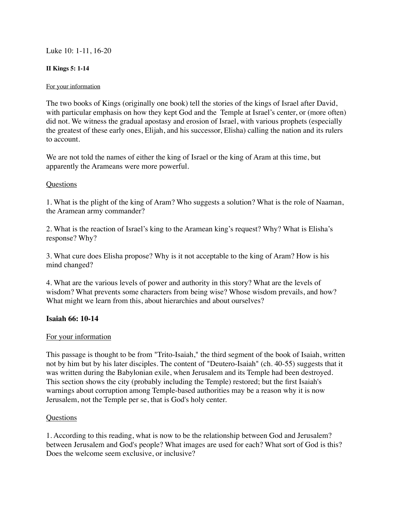### Luke 10: 1-11, 16-20

#### **II Kings 5: 1-14**

#### For your information

The two books of Kings (originally one book) tell the stories of the kings of Israel after David, with particular emphasis on how they kept God and the Temple at Israel's center, or (more often) did not. We witness the gradual apostasy and erosion of Israel, with various prophets (especially the greatest of these early ones, Elijah, and his successor, Elisha) calling the nation and its rulers to account.

We are not told the names of either the king of Israel or the king of Aram at this time, but apparently the Arameans were more powerful.

### **Ouestions**

1. What is the plight of the king of Aram? Who suggests a solution? What is the role of Naaman, the Aramean army commander?

2. What is the reaction of Israel's king to the Aramean king's request? Why? What is Elisha's response? Why?

3. What cure does Elisha propose? Why is it not acceptable to the king of Aram? How is his mind changed?

4. What are the various levels of power and authority in this story? What are the levels of wisdom? What prevents some characters from being wise? Whose wisdom prevails, and how? What might we learn from this, about hierarchies and about ourselves?

### **Isaiah 66: 10-14**

### For your information

This passage is thought to be from "Trito-Isaiah," the third segment of the book of Isaiah, written not by him but by his later disciples. The content of "Deutero-Isaiah" (ch. 40-55) suggests that it was written during the Babylonian exile, when Jerusalem and its Temple had been destroyed. This section shows the city (probably including the Temple) restored; but the first Isaiah's warnings about corruption among Temple-based authorities may be a reason why it is now Jerusalem, not the Temple per se, that is God's holy center.

### **Ouestions**

1. According to this reading, what is now to be the relationship between God and Jerusalem? between Jerusalem and God's people? What images are used for each? What sort of God is this? Does the welcome seem exclusive, or inclusive?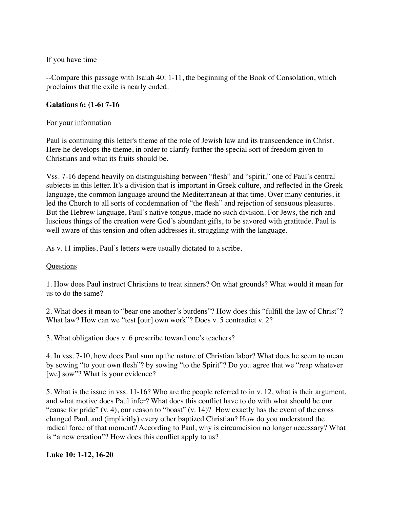# If you have time

--Compare this passage with Isaiah 40: 1-11, the beginning of the Book of Consolation, which proclaims that the exile is nearly ended.

## **Galatians 6: (1-6) 7-16**

## For your information

Paul is continuing this letter's theme of the role of Jewish law and its transcendence in Christ. Here he develops the theme, in order to clarify further the special sort of freedom given to Christians and what its fruits should be.

Vss. 7-16 depend heavily on distinguishing between "flesh" and "spirit," one of Paul's central subjects in this letter. It's a division that is important in Greek culture, and reflected in the Greek language, the common language around the Mediterranean at that time. Over many centuries, it led the Church to all sorts of condemnation of "the flesh" and rejection of sensuous pleasures. But the Hebrew language, Paul's native tongue, made no such division. For Jews, the rich and luscious things of the creation were God's abundant gifts, to be savored with gratitude. Paul is well aware of this tension and often addresses it, struggling with the language.

As v. 11 implies, Paul's letters were usually dictated to a scribe.

### Questions

1. How does Paul instruct Christians to treat sinners? On what grounds? What would it mean for us to do the same?

2. What does it mean to "bear one another's burdens"? How does this "fulfill the law of Christ"? What law? How can we "test [our] own work"? Does v. 5 contradict v. 2?

3. What obligation does v. 6 prescribe toward one's teachers?

4. In vss. 7-10, how does Paul sum up the nature of Christian labor? What does he seem to mean by sowing "to your own flesh"? by sowing "to the Spirit"? Do you agree that we "reap whatever [we] sow"? What is your evidence?

5. What is the issue in vss. 11-16? Who are the people referred to in v. 12, what is their argument, and what motive does Paul infer? What does this conflict have to do with what should be our "cause for pride" (v. 4), our reason to "boast" (v. 14)? How exactly has the event of the cross changed Paul, and (implicitly) every other baptized Christian? How do you understand the radical force of that moment? According to Paul, why is circumcision no longer necessary? What is "a new creation"? How does this conflict apply to us?

# **Luke 10: 1-12, 16-20**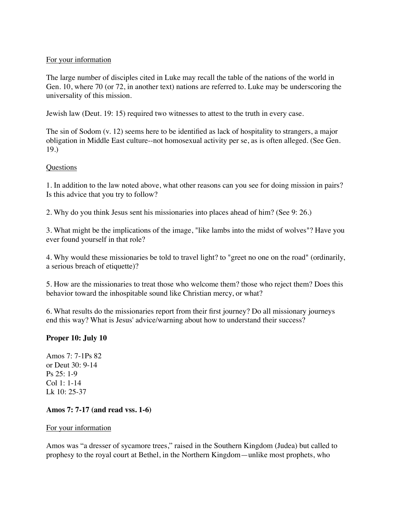## For your information

The large number of disciples cited in Luke may recall the table of the nations of the world in Gen. 10, where 70 (or 72, in another text) nations are referred to. Luke may be underscoring the universality of this mission.

Jewish law (Deut. 19: 15) required two witnesses to attest to the truth in every case.

The sin of Sodom (v. 12) seems here to be identified as lack of hospitality to strangers, a major obligation in Middle East culture--not homosexual activity per se, as is often alleged. (See Gen. 19.)

## **Questions**

1. In addition to the law noted above, what other reasons can you see for doing mission in pairs? Is this advice that you try to follow?

2. Why do you think Jesus sent his missionaries into places ahead of him? (See 9: 26.)

3. What might be the implications of the image, "like lambs into the midst of wolves"? Have you ever found yourself in that role?

4. Why would these missionaries be told to travel light? to "greet no one on the road" (ordinarily, a serious breach of etiquette)?

5. How are the missionaries to treat those who welcome them? those who reject them? Does this behavior toward the inhospitable sound like Christian mercy, or what?

6. What results do the missionaries report from their first journey? Do all missionary journeys end this way? What is Jesus' advice/warning about how to understand their success?

# **Proper 10: July 10**

Amos 7: 7-1Ps 82 or Deut 30: 9-14 Ps 25: 1-9 Col 1: 1-14 Lk 10: 25-37

# **Amos 7: 7-17 (and read vss. 1-6)**

### For your information

Amos was "a dresser of sycamore trees," raised in the Southern Kingdom (Judea) but called to prophesy to the royal court at Bethel, in the Northern Kingdom—unlike most prophets, who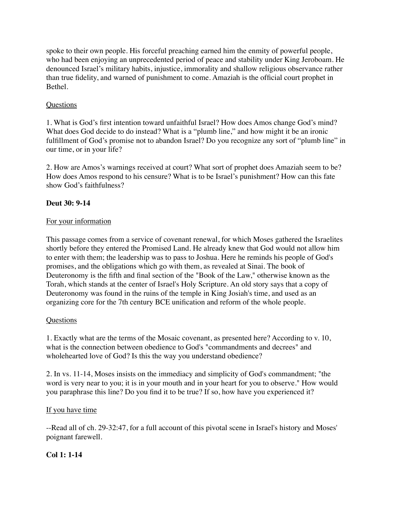spoke to their own people. His forceful preaching earned him the enmity of powerful people, who had been enjoying an unprecedented period of peace and stability under King Jeroboam. He denounced Israel's military habits, injustice, immorality and shallow religious observance rather than true fidelity, and warned of punishment to come. Amaziah is the official court prophet in Bethel.

# Questions

1. What is God's first intention toward unfaithful Israel? How does Amos change God's mind? What does God decide to do instead? What is a "plumb line," and how might it be an ironic fulfillment of God's promise not to abandon Israel? Do you recognize any sort of "plumb line" in our time, or in your life?

2. How are Amos's warnings received at court? What sort of prophet does Amaziah seem to be? How does Amos respond to his censure? What is to be Israel's punishment? How can this fate show God's faithfulness?

# **Deut 30: 9-14**

# For your information

This passage comes from a service of covenant renewal, for which Moses gathered the Israelites shortly before they entered the Promised Land. He already knew that God would not allow him to enter with them; the leadership was to pass to Joshua. Here he reminds his people of God's promises, and the obligations which go with them, as revealed at Sinai. The book of Deuteronomy is the fifth and final section of the "Book of the Law," otherwise known as the Torah, which stands at the center of Israel's Holy Scripture. An old story says that a copy of Deuteronomy was found in the ruins of the temple in King Josiah's time, and used as an organizing core for the 7th century BCE unification and reform of the whole people.

# Questions

1. Exactly what are the terms of the Mosaic covenant, as presented here? According to v. 10, what is the connection between obedience to God's "commandments and decrees" and wholehearted love of God? Is this the way you understand obedience?

2. In vs. 11-14, Moses insists on the immediacy and simplicity of God's commandment; "the word is very near to you; it is in your mouth and in your heart for you to observe." How would you paraphrase this line? Do you find it to be true? If so, how have you experienced it?

# If you have time

--Read all of ch. 29-32:47, for a full account of this pivotal scene in Israel's history and Moses' poignant farewell.

# **Col 1: 1-14**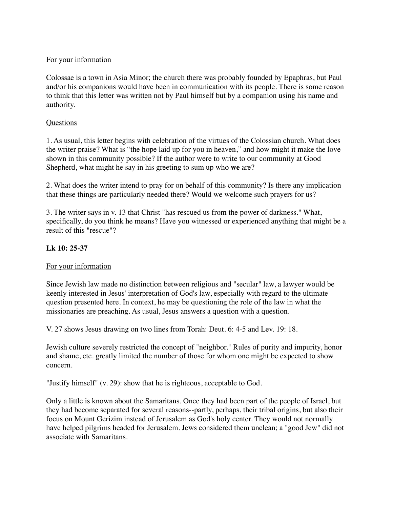# For your information

Colossae is a town in Asia Minor; the church there was probably founded by Epaphras, but Paul and/or his companions would have been in communication with its people. There is some reason to think that this letter was written not by Paul himself but by a companion using his name and authority.

### **Questions**

1. As usual, this letter begins with celebration of the virtues of the Colossian church. What does the writer praise? What is "the hope laid up for you in heaven," and how might it make the love shown in this community possible? If the author were to write to our community at Good Shepherd, what might he say in his greeting to sum up who **we** are?

2. What does the writer intend to pray for on behalf of this community? Is there any implication that these things are particularly needed there? Would we welcome such prayers for us?

3. The writer says in v. 13 that Christ "has rescued us from the power of darkness." What, specifically, do you think he means? Have you witnessed or experienced anything that might be a result of this "rescue"?

# **Lk 10: 25-37**

### For your information

Since Jewish law made no distinction between religious and "secular" law, a lawyer would be keenly interested in Jesus' interpretation of God's law, especially with regard to the ultimate question presented here. In context, he may be questioning the role of the law in what the missionaries are preaching. As usual, Jesus answers a question with a question.

V. 27 shows Jesus drawing on two lines from Torah: Deut. 6: 4-5 and Lev. 19: 18.

Jewish culture severely restricted the concept of "neighbor." Rules of purity and impurity, honor and shame, etc. greatly limited the number of those for whom one might be expected to show concern.

"Justify himself" (v. 29): show that he is righteous, acceptable to God.

Only a little is known about the Samaritans. Once they had been part of the people of Israel, but they had become separated for several reasons--partly, perhaps, their tribal origins, but also their focus on Mount Gerizim instead of Jerusalem as God's holy center. They would not normally have helped pilgrims headed for Jerusalem. Jews considered them unclean; a "good Jew" did not associate with Samaritans.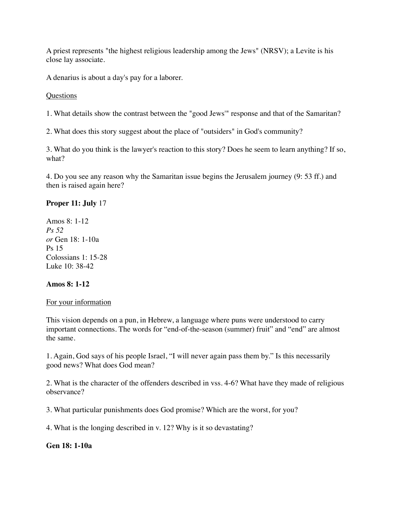A priest represents "the highest religious leadership among the Jews" (NRSV); a Levite is his close lay associate.

A denarius is about a day's pay for a laborer.

**Questions** 

1. What details show the contrast between the "good Jews'" response and that of the Samaritan?

2. What does this story suggest about the place of "outsiders" in God's community?

3. What do you think is the lawyer's reaction to this story? Does he seem to learn anything? If so, what?

4. Do you see any reason why the Samaritan issue begins the Jerusalem journey (9: 53 ff.) and then is raised again here?

# **Proper 11: July** 17

Amos 8: 1-12 *Ps 52 or* Gen 18: 1-10a Ps 15 Colossians 1: 15-28 Luke 10: 38-42

### **Amos 8: 1-12**

### For your information

This vision depends on a pun, in Hebrew, a language where puns were understood to carry important connections. The words for "end-of-the-season (summer) fruit" and "end" are almost the same.

1. Again, God says of his people Israel, "I will never again pass them by." Is this necessarily good news? What does God mean?

2. What is the character of the offenders described in vss. 4-6? What have they made of religious observance?

3. What particular punishments does God promise? Which are the worst, for you?

4. What is the longing described in v. 12? Why is it so devastating?

### **Gen 18: 1-10a**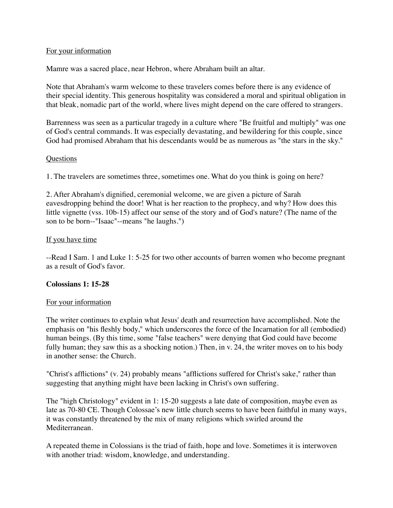### For your information

Mamre was a sacred place, near Hebron, where Abraham built an altar.

Note that Abraham's warm welcome to these travelers comes before there is any evidence of their special identity. This generous hospitality was considered a moral and spiritual obligation in that bleak, nomadic part of the world, where lives might depend on the care offered to strangers.

Barrenness was seen as a particular tragedy in a culture where "Be fruitful and multiply" was one of God's central commands. It was especially devastating, and bewildering for this couple, since God had promised Abraham that his descendants would be as numerous as "the stars in the sky."

### Questions

1. The travelers are sometimes three, sometimes one. What do you think is going on here?

2. After Abraham's dignified, ceremonial welcome, we are given a picture of Sarah eavesdropping behind the door! What is her reaction to the prophecy, and why? How does this little vignette (vss. 10b-15) affect our sense of the story and of God's nature? (The name of the son to be born--"Isaac"--means "he laughs.")

## If you have time

--Read I Sam. 1 and Luke 1: 5-25 for two other accounts of barren women who become pregnant as a result of God's favor.

### **Colossians 1: 15-28**

### For your information

The writer continues to explain what Jesus' death and resurrection have accomplished. Note the emphasis on "his fleshly body," which underscores the force of the Incarnation for all (embodied) human beings. (By this time, some "false teachers" were denying that God could have become fully human; they saw this as a shocking notion.) Then, in v. 24, the writer moves on to his body in another sense: the Church.

"Christ's afflictions" (v. 24) probably means "afflictions suffered for Christ's sake," rather than suggesting that anything might have been lacking in Christ's own suffering.

The "high Christology" evident in 1: 15-20 suggests a late date of composition, maybe even as late as 70-80 CE. Though Colossae's new little church seems to have been faithful in many ways, it was constantly threatened by the mix of many religions which swirled around the Mediterranean.

A repeated theme in Colossians is the triad of faith, hope and love. Sometimes it is interwoven with another triad: wisdom, knowledge, and understanding.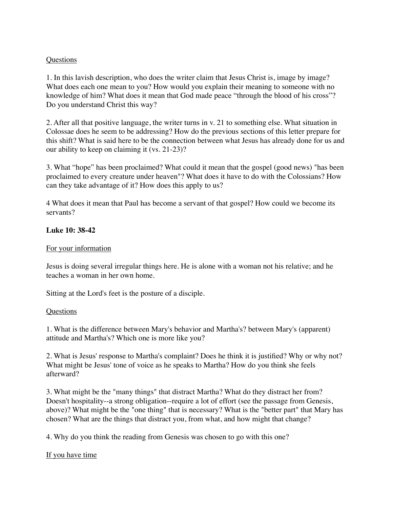### **Questions**

1. In this lavish description, who does the writer claim that Jesus Christ is, image by image? What does each one mean to you? How would you explain their meaning to someone with no knowledge of him? What does it mean that God made peace "through the blood of his cross"? Do you understand Christ this way?

2. After all that positive language, the writer turns in v. 21 to something else. What situation in Colossae does he seem to be addressing? How do the previous sections of this letter prepare for this shift? What is said here to be the connection between what Jesus has already done for us and our ability to keep on claiming it (vs. 21-23)?

3. What "hope" has been proclaimed? What could it mean that the gospel (good news) "has been proclaimed to every creature under heaven"? What does it have to do with the Colossians? How can they take advantage of it? How does this apply to us?

4 What does it mean that Paul has become a servant of that gospel? How could we become its servants?

## **Luke 10: 38-42**

## For your information

Jesus is doing several irregular things here. He is alone with a woman not his relative; and he teaches a woman in her own home.

Sitting at the Lord's feet is the posture of a disciple.

### **Questions**

1. What is the difference between Mary's behavior and Martha's? between Mary's (apparent) attitude and Martha's? Which one is more like you?

2. What is Jesus' response to Martha's complaint? Does he think it is justified? Why or why not? What might be Jesus' tone of voice as he speaks to Martha? How do you think she feels afterward?

3. What might be the "many things" that distract Martha? What do they distract her from? Doesn't hospitality--a strong obligation--require a lot of effort (see the passage from Genesis, above)? What might be the "one thing" that is necessary? What is the "better part" that Mary has chosen? What are the things that distract you, from what, and how might that change?

4. Why do you think the reading from Genesis was chosen to go with this one?

### If you have time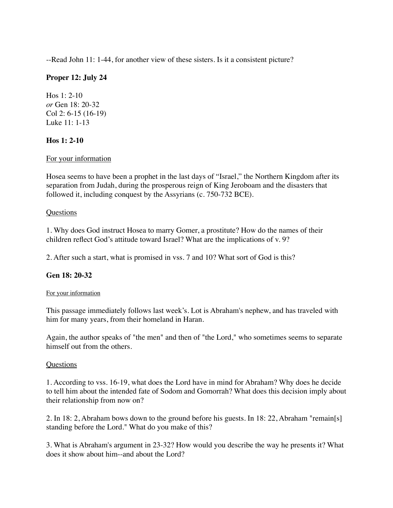--Read John 11: 1-44, for another view of these sisters. Is it a consistent picture?

# **Proper 12: July 24**

Hos 1: 2-10 *or* Gen 18: 20-32 Col 2: 6-15 (16-19) Luke 11: 1-13

### **Hos 1: 2-10**

### For your information

Hosea seems to have been a prophet in the last days of "Israel," the Northern Kingdom after its separation from Judah, during the prosperous reign of King Jeroboam and the disasters that followed it, including conquest by the Assyrians (c. 750-732 BCE).

### **Questions**

1. Why does God instruct Hosea to marry Gomer, a prostitute? How do the names of their children reflect God's attitude toward Israel? What are the implications of v. 9?

2. After such a start, what is promised in vss. 7 and 10? What sort of God is this?

# **Gen 18: 20-32**

#### For your information

This passage immediately follows last week's. Lot is Abraham's nephew, and has traveled with him for many years, from their homeland in Haran.

Again, the author speaks of "the men" and then of "the Lord," who sometimes seems to separate himself out from the others.

### Questions

1. According to vss. 16-19, what does the Lord have in mind for Abraham? Why does he decide to tell him about the intended fate of Sodom and Gomorrah? What does this decision imply about their relationship from now on?

2. In 18: 2, Abraham bows down to the ground before his guests. In 18: 22, Abraham "remain[s] standing before the Lord." What do you make of this?

3. What is Abraham's argument in 23-32? How would you describe the way he presents it? What does it show about him--and about the Lord?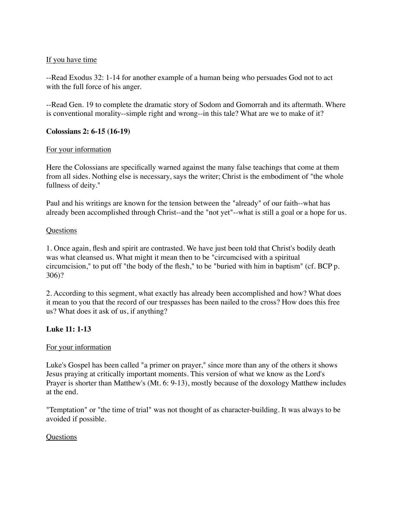# If you have time

--Read Exodus 32: 1-14 for another example of a human being who persuades God not to act with the full force of his anger.

--Read Gen. 19 to complete the dramatic story of Sodom and Gomorrah and its aftermath. Where is conventional morality--simple right and wrong--in this tale? What are we to make of it?

## **Colossians 2: 6-15 (16-19)**

## For your information

Here the Colossians are specifically warned against the many false teachings that come at them from all sides. Nothing else is necessary, says the writer; Christ is the embodiment of "the whole fullness of deity."

Paul and his writings are known for the tension between the "already" of our faith--what has already been accomplished through Christ--and the "not yet"--what is still a goal or a hope for us.

### **Questions**

1. Once again, flesh and spirit are contrasted. We have just been told that Christ's bodily death was what cleansed us. What might it mean then to be "circumcised with a spiritual circumcision," to put off "the body of the flesh," to be "buried with him in baptism" (cf. BCP p. 306)?

2. According to this segment, what exactly has already been accomplished and how? What does it mean to you that the record of our trespasses has been nailed to the cross? How does this free us? What does it ask of us, if anything?

# **Luke 11: 1-13**

### For your information

Luke's Gospel has been called "a primer on prayer," since more than any of the others it shows Jesus praying at critically important moments. This version of what we know as the Lord's Prayer is shorter than Matthew's (Mt. 6: 9-13), mostly because of the doxology Matthew includes at the end.

"Temptation" or "the time of trial" was not thought of as character-building. It was always to be avoided if possible.

### **Questions**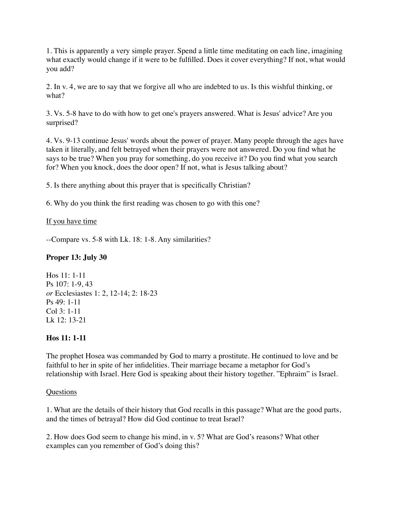1. This is apparently a very simple prayer. Spend a little time meditating on each line, imagining what exactly would change if it were to be fulfilled. Does it cover everything? If not, what would you add?

2. In v. 4, we are to say that we forgive all who are indebted to us. Is this wishful thinking, or what?

3. Vs. 5-8 have to do with how to get one's prayers answered. What is Jesus' advice? Are you surprised?

4. Vs. 9-13 continue Jesus' words about the power of prayer. Many people through the ages have taken it literally, and felt betrayed when their prayers were not answered. Do you find what he says to be true? When you pray for something, do you receive it? Do you find what you search for? When you knock, does the door open? If not, what is Jesus talking about?

5. Is there anything about this prayer that is specifically Christian?

6. Why do you think the first reading was chosen to go with this one?

# If you have time

--Compare vs. 5-8 with Lk. 18: 1-8. Any similarities?

# **Proper 13: July 30**

Hos 11: 1-11 Ps 107: 1-9, 43 *or* Ecclesiastes 1: 2, 12-14; 2: 18-23 Ps 49: 1-11 Col 3: 1-11 Lk 12: 13-21

# **Hos 11: 1-11**

The prophet Hosea was commanded by God to marry a prostitute. He continued to love and be faithful to her in spite of her infidelities. Their marriage became a metaphor for God's relationship with Israel. Here God is speaking about their history together. "Ephraim" is Israel.

# **Questions**

1. What are the details of their history that God recalls in this passage? What are the good parts, and the times of betrayal? How did God continue to treat Israel?

2. How does God seem to change his mind, in v. 5? What are God's reasons? What other examples can you remember of God's doing this?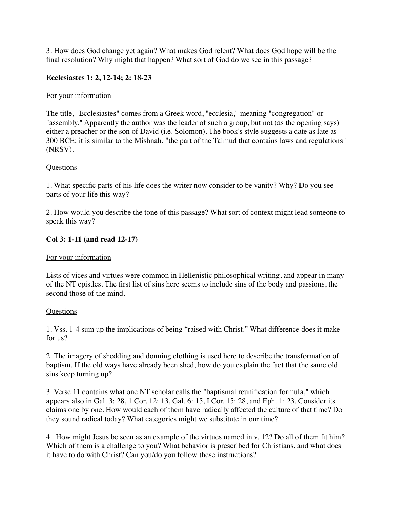3. How does God change yet again? What makes God relent? What does God hope will be the final resolution? Why might that happen? What sort of God do we see in this passage?

# **Ecclesiastes 1: 2, 12-14; 2: 18-23**

## For your information

The title, "Ecclesiastes" comes from a Greek word, "ecclesia," meaning "congregation" or "assembly." Apparently the author was the leader of such a group, but not (as the opening says) either a preacher or the son of David (i.e. Solomon). The book's style suggests a date as late as 300 BCE; it is similar to the Mishnah, "the part of the Talmud that contains laws and regulations" (NRSV).

## **Questions**

1. What specific parts of his life does the writer now consider to be vanity? Why? Do you see parts of your life this way?

2. How would you describe the tone of this passage? What sort of context might lead someone to speak this way?

## **Col 3: 1-11 (and read 12-17)**

### For your information

Lists of vices and virtues were common in Hellenistic philosophical writing, and appear in many of the NT epistles. The first list of sins here seems to include sins of the body and passions, the second those of the mind.

### **Questions**

1. Vss. 1-4 sum up the implications of being "raised with Christ." What difference does it make for us?

2. The imagery of shedding and donning clothing is used here to describe the transformation of baptism. If the old ways have already been shed, how do you explain the fact that the same old sins keep turning up?

3. Verse 11 contains what one NT scholar calls the "baptismal reunification formula," which appears also in Gal. 3: 28, 1 Cor. 12: 13, Gal. 6: 15, I Cor. 15: 28, and Eph. 1: 23. Consider its claims one by one. How would each of them have radically affected the culture of that time? Do they sound radical today? What categories might we substitute in our time?

4. How might Jesus be seen as an example of the virtues named in v. 12? Do all of them fit him? Which of them is a challenge to you? What behavior is prescribed for Christians, and what does it have to do with Christ? Can you/do you follow these instructions?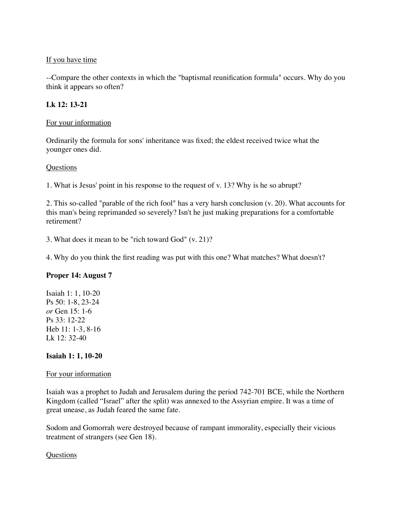### If you have time

--Compare the other contexts in which the "baptismal reunification formula" occurs. Why do you think it appears so often?

# **Lk 12: 13-21**

## For your information

Ordinarily the formula for sons' inheritance was fixed; the eldest received twice what the younger ones did.

## **Questions**

1. What is Jesus' point in his response to the request of v. 13? Why is he so abrupt?

2. This so-called "parable of the rich fool" has a very harsh conclusion (v. 20). What accounts for this man's being reprimanded so severely? Isn't he just making preparations for a comfortable retirement?

3. What does it mean to be "rich toward God" (v. 21)?

4. Why do you think the first reading was put with this one? What matches? What doesn't?

# **Proper 14: August 7**

Isaiah 1: 1, 10-20 Ps 50: 1-8, 23-24 *or* Gen 15: 1-6 Ps 33: 12-22 Heb 11: 1-3, 8-16 Lk 12: 32-40

# **Isaiah 1: 1, 10-20**

### For your information

Isaiah was a prophet to Judah and Jerusalem during the period 742-701 BCE, while the Northern Kingdom (called "Israel" after the split) was annexed to the Assyrian empire. It was a time of great unease, as Judah feared the same fate.

Sodom and Gomorrah were destroyed because of rampant immorality, especially their vicious treatment of strangers (see Gen 18).

### Questions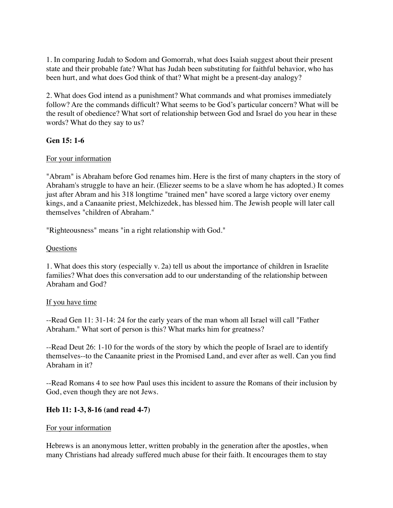1. In comparing Judah to Sodom and Gomorrah, what does Isaiah suggest about their present state and their probable fate? What has Judah been substituting for faithful behavior, who has been hurt, and what does God think of that? What might be a present-day analogy?

2. What does God intend as a punishment? What commands and what promises immediately follow? Are the commands difficult? What seems to be God's particular concern? What will be the result of obedience? What sort of relationship between God and Israel do you hear in these words? What do they say to us?

## **Gen 15: 1-6**

## For your information

"Abram" is Abraham before God renames him. Here is the first of many chapters in the story of Abraham's struggle to have an heir. (Eliezer seems to be a slave whom he has adopted.) It comes just after Abram and his 318 longtime "trained men" have scored a large victory over enemy kings, and a Canaanite priest, Melchizedek, has blessed him. The Jewish people will later call themselves "children of Abraham."

"Righteousness" means "in a right relationship with God."

### **Ouestions**

1. What does this story (especially v. 2a) tell us about the importance of children in Israelite families? What does this conversation add to our understanding of the relationship between Abraham and God?

### If you have time

--Read Gen 11: 31-14: 24 for the early years of the man whom all Israel will call "Father Abraham." What sort of person is this? What marks him for greatness?

--Read Deut 26: 1-10 for the words of the story by which the people of Israel are to identify themselves--to the Canaanite priest in the Promised Land, and ever after as well. Can you find Abraham in it?

--Read Romans 4 to see how Paul uses this incident to assure the Romans of their inclusion by God, even though they are not Jews.

# **Heb 11: 1-3, 8-16 (and read 4-7)**

### For your information

Hebrews is an anonymous letter, written probably in the generation after the apostles, when many Christians had already suffered much abuse for their faith. It encourages them to stay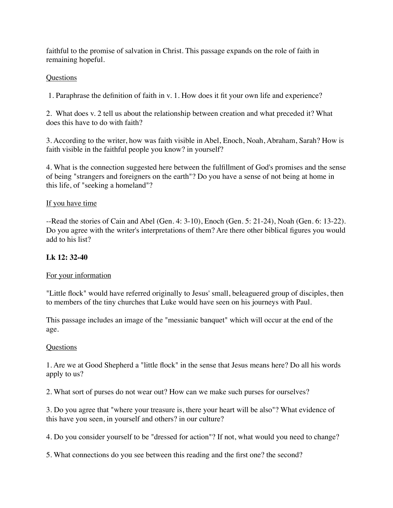faithful to the promise of salvation in Christ. This passage expands on the role of faith in remaining hopeful.

# Questions

1. Paraphrase the definition of faith in v. 1. How does it fit your own life and experience?

2. What does v. 2 tell us about the relationship between creation and what preceded it? What does this have to do with faith?

3. According to the writer, how was faith visible in Abel, Enoch, Noah, Abraham, Sarah? How is faith visible in the faithful people you know? in yourself?

4. What is the connection suggested here between the fulfillment of God's promises and the sense of being "strangers and foreigners on the earth"? Do you have a sense of not being at home in this life, of "seeking a homeland"?

## If you have time

--Read the stories of Cain and Abel (Gen. 4: 3-10), Enoch (Gen. 5: 21-24), Noah (Gen. 6: 13-22). Do you agree with the writer's interpretations of them? Are there other biblical figures you would add to his list?

# **Lk 12: 32-40**

### For your information

"Little flock" would have referred originally to Jesus' small, beleaguered group of disciples, then to members of the tiny churches that Luke would have seen on his journeys with Paul.

This passage includes an image of the "messianic banquet" which will occur at the end of the age.

### Questions

1. Are we at Good Shepherd a "little flock" in the sense that Jesus means here? Do all his words apply to us?

2. What sort of purses do not wear out? How can we make such purses for ourselves?

3. Do you agree that "where your treasure is, there your heart will be also"? What evidence of this have you seen, in yourself and others? in our culture?

4. Do you consider yourself to be "dressed for action"? If not, what would you need to change?

5. What connections do you see between this reading and the first one? the second?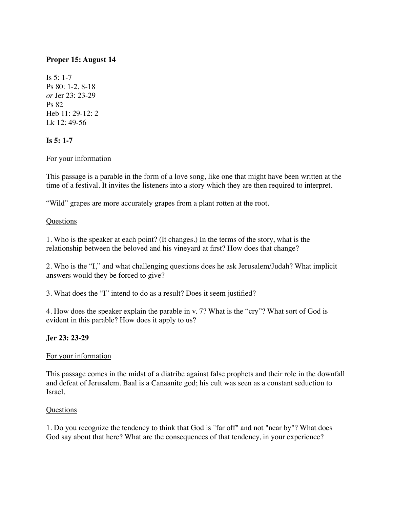# **Proper 15: August 14**

Is 5: 1-7 Ps 80: 1-2, 8-18 *or* Jer 23: 23-29 Ps 82 Heb 11: 29-12: 2 Lk 12: 49-56

# **Is 5: 1-7**

# For your information

This passage is a parable in the form of a love song, like one that might have been written at the time of a festival. It invites the listeners into a story which they are then required to interpret.

"Wild" grapes are more accurately grapes from a plant rotten at the root.

## **Questions**

1. Who is the speaker at each point? (It changes.) In the terms of the story, what is the relationship between the beloved and his vineyard at first? How does that change?

2. Who is the "I," and what challenging questions does he ask Jerusalem/Judah? What implicit answers would they be forced to give?

3. What does the "I" intend to do as a result? Does it seem justified?

4. How does the speaker explain the parable in v. 7? What is the "cry"? What sort of God is evident in this parable? How does it apply to us?

# **Jer 23: 23-29**

### For your information

This passage comes in the midst of a diatribe against false prophets and their role in the downfall and defeat of Jerusalem. Baal is a Canaanite god; his cult was seen as a constant seduction to Israel.

### **Ouestions**

1. Do you recognize the tendency to think that God is "far off" and not "near by"? What does God say about that here? What are the consequences of that tendency, in your experience?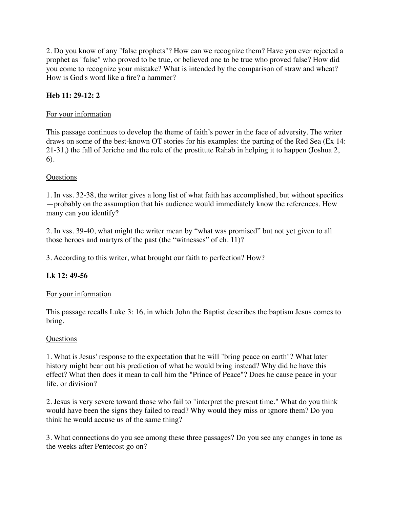2. Do you know of any "false prophets"? How can we recognize them? Have you ever rejected a prophet as "false" who proved to be true, or believed one to be true who proved false? How did you come to recognize your mistake? What is intended by the comparison of straw and wheat? How is God's word like a fire? a hammer?

# **Heb 11: 29-12: 2**

# For your information

This passage continues to develop the theme of faith's power in the face of adversity. The writer draws on some of the best-known OT stories for his examples: the parting of the Red Sea (Ex 14: 21-31,) the fall of Jericho and the role of the prostitute Rahab in helping it to happen (Joshua 2, 6).

## **Ouestions**

1. In vss. 32-38, the writer gives a long list of what faith has accomplished, but without specifics —probably on the assumption that his audience would immediately know the references. How many can you identify?

2. In vss. 39-40, what might the writer mean by "what was promised" but not yet given to all those heroes and martyrs of the past (the "witnesses" of ch. 11)?

3. According to this writer, what brought our faith to perfection? How?

# **Lk 12: 49-56**

### For your information

This passage recalls Luke 3: 16, in which John the Baptist describes the baptism Jesus comes to bring.

### **Questions**

1. What is Jesus' response to the expectation that he will "bring peace on earth"? What later history might bear out his prediction of what he would bring instead? Why did he have this effect? What then does it mean to call him the "Prince of Peace"? Does he cause peace in your life, or division?

2. Jesus is very severe toward those who fail to "interpret the present time." What do you think would have been the signs they failed to read? Why would they miss or ignore them? Do you think he would accuse us of the same thing?

3. What connections do you see among these three passages? Do you see any changes in tone as the weeks after Pentecost go on?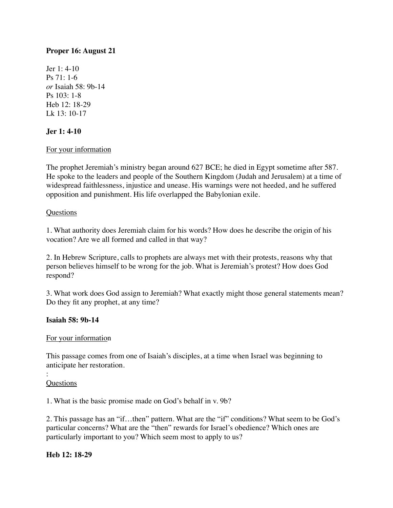# **Proper 16: August 21**

Jer 1: 4-10 Ps 71: 1-6 *or* Isaiah 58: 9b-14 Ps 103: 1-8 Heb 12: 18-29 Lk 13: 10-17

## **Jer 1: 4-10**

### For your information

The prophet Jeremiah's ministry began around 627 BCE; he died in Egypt sometime after 587. He spoke to the leaders and people of the Southern Kingdom (Judah and Jerusalem) at a time of widespread faithlessness, injustice and unease. His warnings were not heeded, and he suffered opposition and punishment. His life overlapped the Babylonian exile.

### Questions

1. What authority does Jeremiah claim for his words? How does he describe the origin of his vocation? Are we all formed and called in that way?

2. In Hebrew Scripture, calls to prophets are always met with their protests, reasons why that person believes himself to be wrong for the job. What is Jeremiah's protest? How does God respond?

3. What work does God assign to Jeremiah? What exactly might those general statements mean? Do they fit any prophet, at any time?

### **Isaiah 58: 9b-14**

### For your information

This passage comes from one of Isaiah's disciples, at a time when Israel was beginning to anticipate her restoration.

#### : **Questions**

1. What is the basic promise made on God's behalf in v. 9b?

2. This passage has an "if…then" pattern. What are the "if" conditions? What seem to be God's particular concerns? What are the "then" rewards for Israel's obedience? Which ones are particularly important to you? Which seem most to apply to us?

### **Heb 12: 18-29**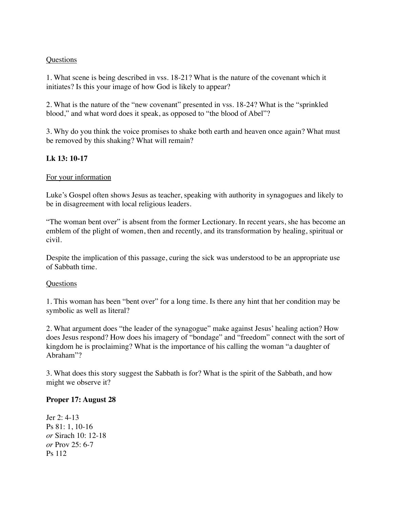### **Questions**

1. What scene is being described in vss. 18-21? What is the nature of the covenant which it initiates? Is this your image of how God is likely to appear?

2. What is the nature of the "new covenant" presented in vss. 18-24? What is the "sprinkled blood," and what word does it speak, as opposed to "the blood of Abel"?

3. Why do you think the voice promises to shake both earth and heaven once again? What must be removed by this shaking? What will remain?

# **Lk 13: 10-17**

### For your information

Luke's Gospel often shows Jesus as teacher, speaking with authority in synagogues and likely to be in disagreement with local religious leaders.

"The woman bent over" is absent from the former Lectionary. In recent years, she has become an emblem of the plight of women, then and recently, and its transformation by healing, spiritual or civil.

Despite the implication of this passage, curing the sick was understood to be an appropriate use of Sabbath time.

#### Questions

1. This woman has been "bent over" for a long time. Is there any hint that her condition may be symbolic as well as literal?

2. What argument does "the leader of the synagogue" make against Jesus' healing action? How does Jesus respond? How does his imagery of "bondage" and "freedom" connect with the sort of kingdom he is proclaiming? What is the importance of his calling the woman "a daughter of Abraham"?

3. What does this story suggest the Sabbath is for? What is the spirit of the Sabbath, and how might we observe it?

### **Proper 17: August 28**

 $Ier 2: 4-13$ Ps 81: 1, 10-16 *or* Sirach 10: 12-18 *or* Prov 25: 6-7 Ps 112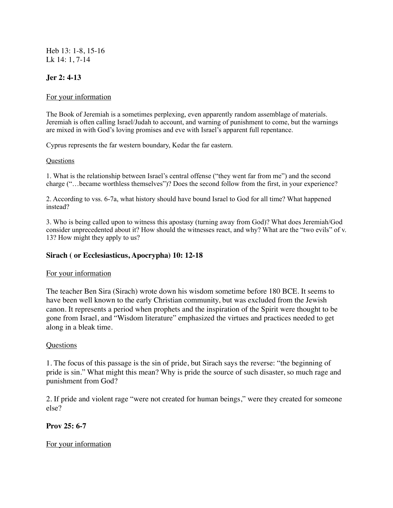Heb 13: 1-8, 15-16 Lk 14: 1, 7-14

# **Jer 2: 4-13**

### For your information

The Book of Jeremiah is a sometimes perplexing, even apparently random assemblage of materials. Jeremiah is often calling Israel/Judah to account, and warning of punishment to come, but the warnings are mixed in with God's loving promises and eve with Israel's apparent full repentance.

Cyprus represents the far western boundary, Kedar the far eastern.

#### Questions

1. What is the relationship between Israel's central offense ("they went far from me") and the second charge ("…became worthless themselves")? Does the second follow from the first, in your experience?

2. According to vss. 6-7a, what history should have bound Israel to God for all time? What happened instead?

3. Who is being called upon to witness this apostasy (turning away from God)? What does Jeremiah/God consider unprecedented about it? How should the witnesses react, and why? What are the "two evils" of v. 13? How might they apply to us?

### **Sirach ( or Ecclesiasticus, Apocrypha) 10: 12-18**

### For your information

The teacher Ben Sira (Sirach) wrote down his wisdom sometime before 180 BCE. It seems to have been well known to the early Christian community, but was excluded from the Jewish canon. It represents a period when prophets and the inspiration of the Spirit were thought to be gone from Israel, and "Wisdom literature" emphasized the virtues and practices needed to get along in a bleak time.

### Questions

1. The focus of this passage is the sin of pride, but Sirach says the reverse: "the beginning of pride is sin." What might this mean? Why is pride the source of such disaster, so much rage and punishment from God?

2. If pride and violent rage "were not created for human beings," were they created for someone else?

### **Prov 25: 6-7**

### For your information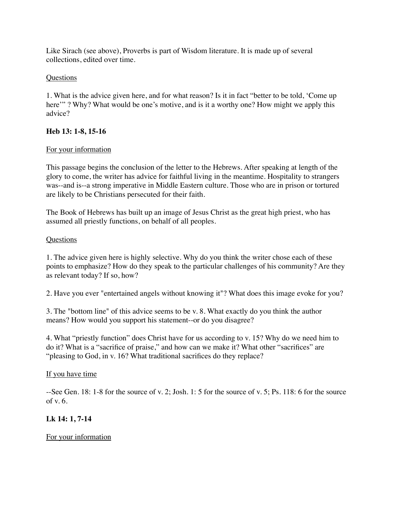Like Sirach (see above), Proverbs is part of Wisdom literature. It is made up of several collections, edited over time.

# Questions

1. What is the advice given here, and for what reason? Is it in fact "better to be told, 'Come up here'" ? Why? What would be one's motive, and is it a worthy one? How might we apply this advice?

## **Heb 13: 1-8, 15-16**

## For your information

This passage begins the conclusion of the letter to the Hebrews. After speaking at length of the glory to come, the writer has advice for faithful living in the meantime. Hospitality to strangers was--and is--a strong imperative in Middle Eastern culture. Those who are in prison or tortured are likely to be Christians persecuted for their faith.

The Book of Hebrews has built up an image of Jesus Christ as the great high priest, who has assumed all priestly functions, on behalf of all peoples.

## **Questions**

1. The advice given here is highly selective. Why do you think the writer chose each of these points to emphasize? How do they speak to the particular challenges of his community? Are they as relevant today? If so, how?

2. Have you ever "entertained angels without knowing it"? What does this image evoke for you?

3. The "bottom line" of this advice seems to be v. 8. What exactly do you think the author means? How would you support his statement--or do you disagree?

4. What "priestly function" does Christ have for us according to v. 15? Why do we need him to do it? What is a "sacrifice of praise," and how can we make it? What other "sacrifices" are "pleasing to God, in v. 16? What traditional sacrifices do they replace?

### If you have time

--See Gen. 18: 1-8 for the source of v. 2; Josh. 1: 5 for the source of v. 5; Ps. 118: 6 for the source of v. 6.

# **Lk 14: 1, 7-14**

# For your information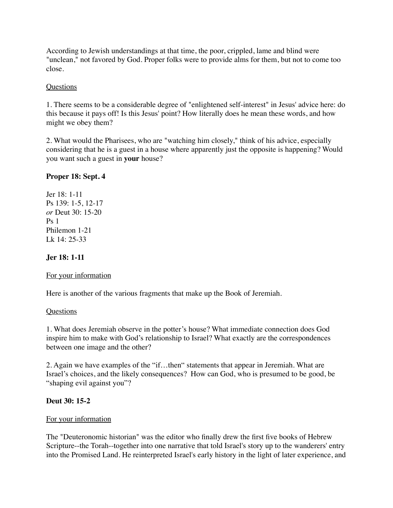According to Jewish understandings at that time, the poor, crippled, lame and blind were "unclean," not favored by God. Proper folks were to provide alms for them, but not to come too close.

## **Questions**

1. There seems to be a considerable degree of "enlightened self-interest" in Jesus' advice here: do this because it pays off! Is this Jesus' point? How literally does he mean these words, and how might we obey them?

2. What would the Pharisees, who are "watching him closely," think of his advice, especially considering that he is a guest in a house where apparently just the opposite is happening? Would you want such a guest in **your** house?

# **Proper 18: Sept. 4**

Jer 18: 1-11 Ps 139: 1-5, 12-17 *or* Deut 30: 15-20  $P_S$  1 Philemon 1-21 Lk 14: 25-33

# **Jer 18: 1-11**

# For your information

Here is another of the various fragments that make up the Book of Jeremiah.

### **Questions**

1. What does Jeremiah observe in the potter's house? What immediate connection does God inspire him to make with God's relationship to Israel? What exactly are the correspondences between one image and the other?

2. Again we have examples of the "if…then" statements that appear in Jeremiah. What are Israel's choices, and the likely consequences? How can God, who is presumed to be good, be "shaping evil against you"?

# **Deut 30: 15-2**

# For your information

The "Deuteronomic historian" was the editor who finally drew the first five books of Hebrew Scripture--the Torah--together into one narrative that told Israel's story up to the wanderers' entry into the Promised Land. He reinterpreted Israel's early history in the light of later experience, and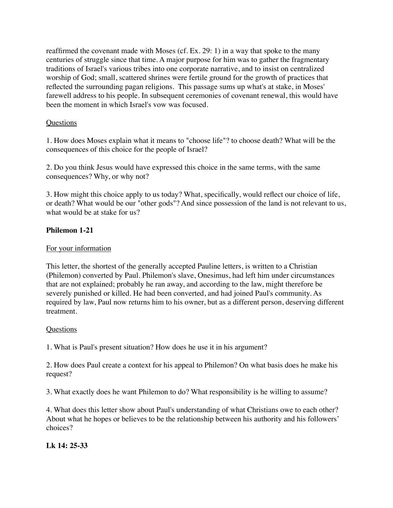reaffirmed the covenant made with Moses (cf. Ex. 29: 1) in a way that spoke to the many centuries of struggle since that time. A major purpose for him was to gather the fragmentary traditions of Israel's various tribes into one corporate narrative, and to insist on centralized worship of God; small, scattered shrines were fertile ground for the growth of practices that reflected the surrounding pagan religions. This passage sums up what's at stake, in Moses' farewell address to his people. In subsequent ceremonies of covenant renewal, this would have been the moment in which Israel's vow was focused.

# **Questions**

1. How does Moses explain what it means to "choose life"? to choose death? What will be the consequences of this choice for the people of Israel?

2. Do you think Jesus would have expressed this choice in the same terms, with the same consequences? Why, or why not?

3. How might this choice apply to us today? What, specifically, would reflect our choice of life, or death? What would be our "other gods"? And since possession of the land is not relevant to us, what would be at stake for us?

## **Philemon 1-21**

## For your information

This letter, the shortest of the generally accepted Pauline letters, is written to a Christian (Philemon) converted by Paul. Philemon's slave, Onesimus, had left him under circumstances that are not explained; probably he ran away, and according to the law, might therefore be severely punished or killed. He had been converted, and had joined Paul's community. As required by law, Paul now returns him to his owner, but as a different person, deserving different treatment.

### **Ouestions**

1. What is Paul's present situation? How does he use it in his argument?

2. How does Paul create a context for his appeal to Philemon? On what basis does he make his request?

3. What exactly does he want Philemon to do? What responsibility is he willing to assume?

4. What does this letter show about Paul's understanding of what Christians owe to each other? About what he hopes or believes to be the relationship between his authority and his followers' choices?

# **Lk 14: 25-33**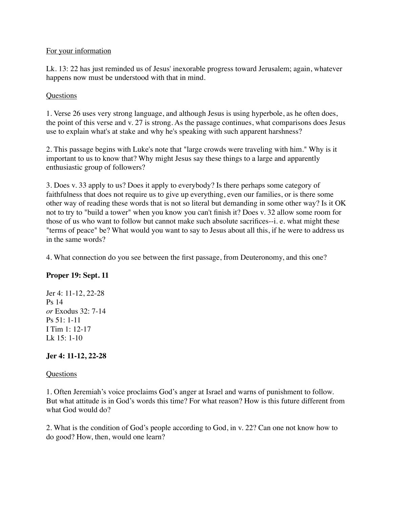## For your information

Lk. 13: 22 has just reminded us of Jesus' inexorable progress toward Jerusalem; again, whatever happens now must be understood with that in mind.

# **Questions**

1. Verse 26 uses very strong language, and although Jesus is using hyperbole, as he often does, the point of this verse and v. 27 is strong. As the passage continues, what comparisons does Jesus use to explain what's at stake and why he's speaking with such apparent harshness?

2. This passage begins with Luke's note that "large crowds were traveling with him." Why is it important to us to know that? Why might Jesus say these things to a large and apparently enthusiastic group of followers?

3. Does v. 33 apply to us? Does it apply to everybody? Is there perhaps some category of faithfulness that does not require us to give up everything, even our families, or is there some other way of reading these words that is not so literal but demanding in some other way? Is it OK not to try to "build a tower" when you know you can't finish it? Does v. 32 allow some room for those of us who want to follow but cannot make such absolute sacrifices--i. e. what might these "terms of peace" be? What would you want to say to Jesus about all this, if he were to address us in the same words?

4. What connection do you see between the first passage, from Deuteronomy, and this one?

# **Proper 19: Sept. 11**

Jer 4: 11-12, 22-28 Ps 14 *or* Exodus 32: 7-14 Ps 51: 1-11 I Tim 1: 12-17 Lk 15: 1-10

# **Jer 4: 11-12, 22-28**

### Questions

1. Often Jeremiah's voice proclaims God's anger at Israel and warns of punishment to follow. But what attitude is in God's words this time? For what reason? How is this future different from what God would do?

2. What is the condition of God's people according to God, in v. 22? Can one not know how to do good? How, then, would one learn?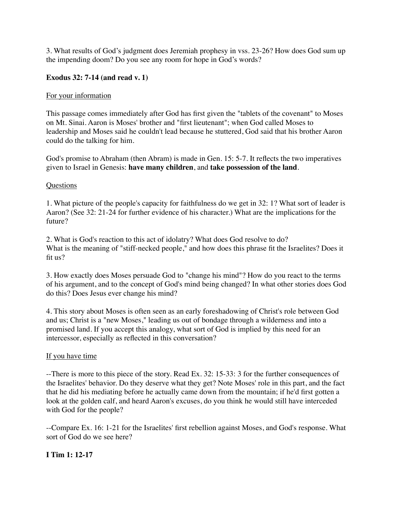3. What results of God's judgment does Jeremiah prophesy in vss. 23-26? How does God sum up the impending doom? Do you see any room for hope in God's words?

## **Exodus 32: 7-14 (and read v. 1)**

### For your information

This passage comes immediately after God has first given the "tablets of the covenant" to Moses on Mt. Sinai. Aaron is Moses' brother and "first lieutenant"; when God called Moses to leadership and Moses said he couldn't lead because he stuttered, God said that his brother Aaron could do the talking for him.

God's promise to Abraham (then Abram) is made in Gen. 15: 5-7. It reflects the two imperatives given to Israel in Genesis: **have many children**, and **take possession of the land**.

### Questions

1. What picture of the people's capacity for faithfulness do we get in 32: 1? What sort of leader is Aaron? (See 32: 21-24 for further evidence of his character.) What are the implications for the future?

2. What is God's reaction to this act of idolatry? What does God resolve to do? What is the meaning of "stiff-necked people," and how does this phrase fit the Israelites? Does it fit us?

3. How exactly does Moses persuade God to "change his mind"? How do you react to the terms of his argument, and to the concept of God's mind being changed? In what other stories does God do this? Does Jesus ever change his mind?

4. This story about Moses is often seen as an early foreshadowing of Christ's role between God and us; Christ is a "new Moses," leading us out of bondage through a wilderness and into a promised land. If you accept this analogy, what sort of God is implied by this need for an intercessor, especially as reflected in this conversation?

### If you have time

--There is more to this piece of the story. Read Ex. 32: 15-33: 3 for the further consequences of the Israelites' behavior. Do they deserve what they get? Note Moses' role in this part, and the fact that he did his mediating before he actually came down from the mountain; if he'd first gotten a look at the golden calf, and heard Aaron's excuses, do you think he would still have interceded with God for the people?

--Compare Ex. 16: 1-21 for the Israelites' first rebellion against Moses, and God's response. What sort of God do we see here?

# **I Tim 1: 12-17**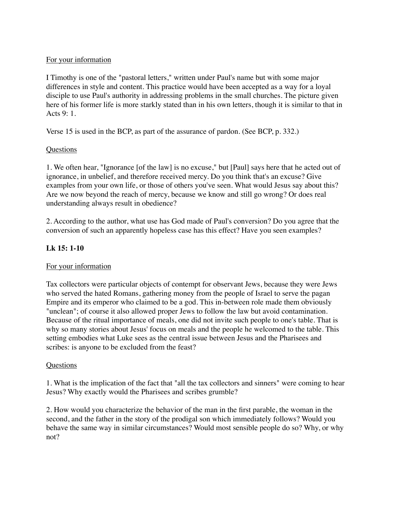# For your information

I Timothy is one of the "pastoral letters," written under Paul's name but with some major differences in style and content. This practice would have been accepted as a way for a loyal disciple to use Paul's authority in addressing problems in the small churches. The picture given here of his former life is more starkly stated than in his own letters, though it is similar to that in Acts 9: 1.

Verse 15 is used in the BCP, as part of the assurance of pardon. (See BCP, p. 332.)

## **Questions**

1. We often hear, "Ignorance [of the law] is no excuse," but [Paul] says here that he acted out of ignorance, in unbelief, and therefore received mercy. Do you think that's an excuse? Give examples from your own life, or those of others you've seen. What would Jesus say about this? Are we now beyond the reach of mercy, because we know and still go wrong? Or does real understanding always result in obedience?

2. According to the author, what use has God made of Paul's conversion? Do you agree that the conversion of such an apparently hopeless case has this effect? Have you seen examples?

# **Lk 15: 1-10**

### For your information

Tax collectors were particular objects of contempt for observant Jews, because they were Jews who served the hated Romans, gathering money from the people of Israel to serve the pagan Empire and its emperor who claimed to be a god. This in-between role made them obviously "unclean"; of course it also allowed proper Jews to follow the law but avoid contamination. Because of the ritual importance of meals, one did not invite such people to one's table. That is why so many stories about Jesus' focus on meals and the people he welcomed to the table. This setting embodies what Luke sees as the central issue between Jesus and the Pharisees and scribes: is anyone to be excluded from the feast?

### **Questions**

1. What is the implication of the fact that "all the tax collectors and sinners" were coming to hear Jesus? Why exactly would the Pharisees and scribes grumble?

2. How would you characterize the behavior of the man in the first parable, the woman in the second, and the father in the story of the prodigal son which immediately follows? Would you behave the same way in similar circumstances? Would most sensible people do so? Why, or why not?